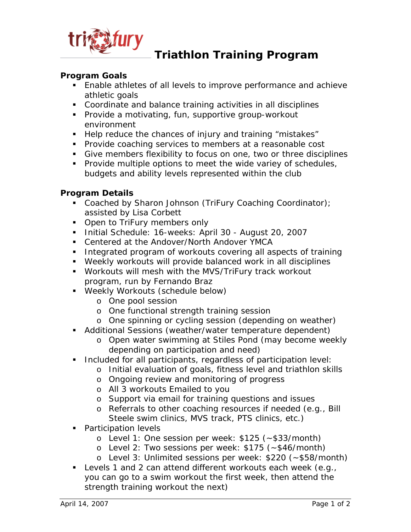

## **Triathlon Training Program**

#### **Program Goals**

- Enable athletes of all levels to improve performance and achieve athletic goals
- Coordinate and balance training activities in all disciplines
- **Provide a motivating, fun, supportive group-workout** environment
- Help reduce the chances of injury and training "mistakes"
- **Provide coaching services to members at a reasonable cost**
- Give members flexibility to focus on one, two or three disciplines
- **Provide multiple options to meet the wide variey of schedules,** budgets and ability levels represented within the club

#### **Program Details**

- Coached by Sharon Johnson (TriFury Coaching Coordinator); assisted by Lisa Corbett
- Open to TriFury members only
- Initial Schedule: 16-weeks: April 30 August 20, 2007
- Centered at the Andover/North Andover YMCA
- **Integrated program of workouts covering all aspects of training**
- Weekly workouts will provide balanced work in all disciplines
- Workouts will mesh with the MVS/TriFury track workout program, run by Fernando Braz
- Weekly Workouts (schedule below)
	- o One pool session
	- o One functional strength training session
	- o One spinning or cycling session (depending on weather)
- Additional Sessions (weather/water temperature dependent)
	- o Open water swimming at Stiles Pond (may become weekly depending on participation and need)
- **Included for all participants, regardless of participation level:** 
	- o Initial evaluation of goals, fitness level and triathlon skills
	- o Ongoing review and monitoring of progress
	- o All 3 workouts Emailed to you
	- o Support via email for training questions and issues
	- o Referrals to other coaching resources if needed (e.g., Bill Steele swim clinics, MVS track, PTS clinics, etc.)
- **Participation levels** 
	- o Level 1: One session per week: \$125 (~\$33/month)
	- o Level 2: Two sessions per week: \$175 (~\$46/month)
	- o Level 3: Unlimited sessions per week: \$220 (~\$58/month)
- **Levels 1 and 2 can attend different workouts each week (e.g.,** you can go to a swim workout the first week, then attend the strength training workout the next)